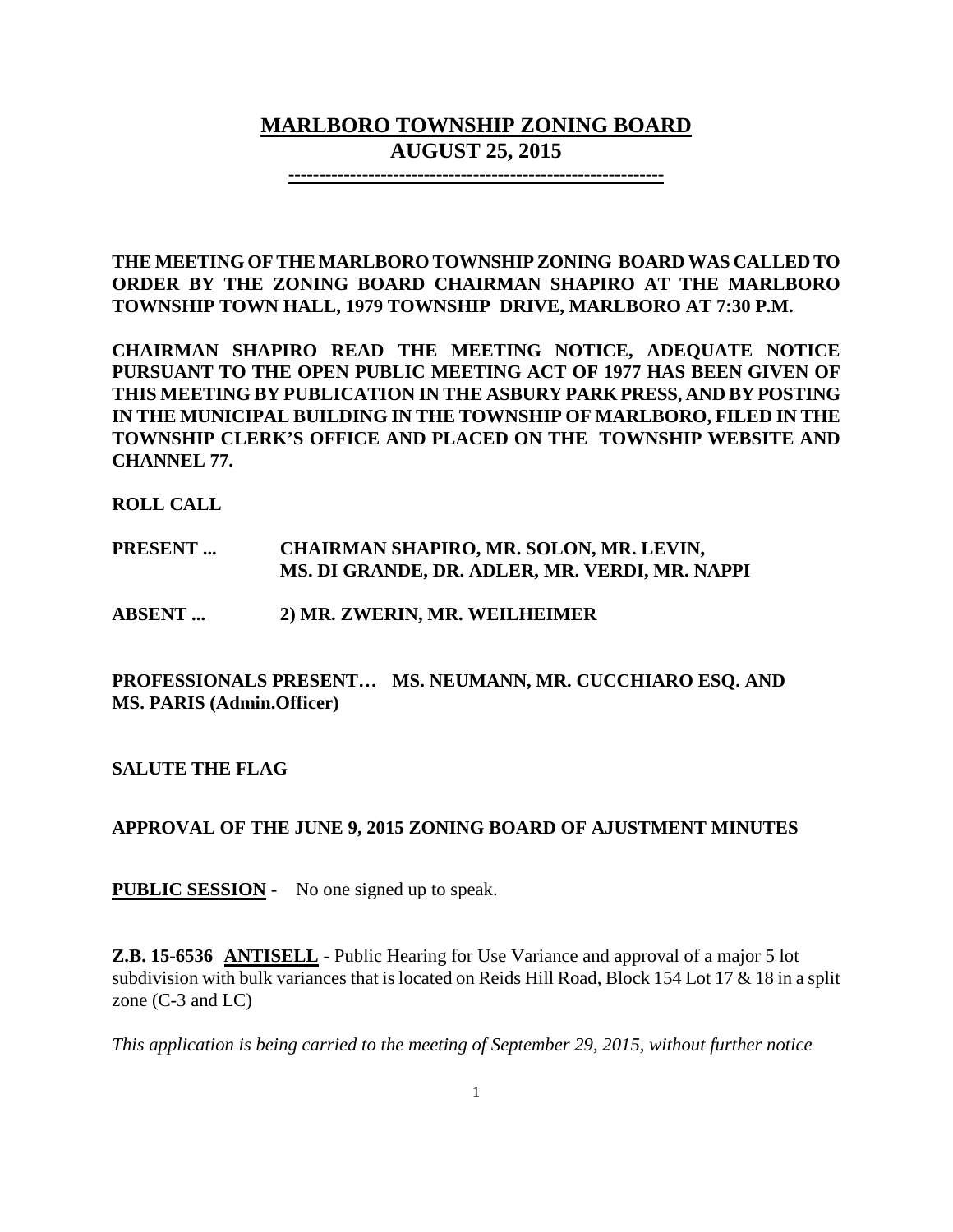# **MARLBORO TOWNSHIP ZONING BOARD AUGUST 25, 2015**

**-------------------------------------------------------------**

**THE MEETING OF THE MARLBORO TOWNSHIP ZONING BOARD WAS CALLED TO ORDER BY THE ZONING BOARD CHAIRMAN SHAPIRO AT THE MARLBORO TOWNSHIP TOWN HALL, 1979 TOWNSHIP DRIVE, MARLBORO AT 7:30 P.M.**

**CHAIRMAN SHAPIRO READ THE MEETING NOTICE, ADEQUATE NOTICE PURSUANT TO THE OPEN PUBLIC MEETING ACT OF 1977 HAS BEEN GIVEN OF THIS MEETING BY PUBLICATION IN THE ASBURY PARK PRESS, AND BY POSTING IN THE MUNICIPAL BUILDING IN THE TOWNSHIP OF MARLBORO, FILED IN THE TOWNSHIP CLERK'S OFFICE AND PLACED ON THE TOWNSHIP WEBSITE AND CHANNEL 77.**

**ROLL CALL**

### **PRESENT ... CHAIRMAN SHAPIRO, MR. SOLON, MR. LEVIN, MS. DI GRANDE, DR. ADLER, MR. VERDI, MR. NAPPI**

**ABSENT ... 2) MR. ZWERIN, MR. WEILHEIMER**

# **PROFESSIONALS PRESENT… MS. NEUMANN, MR. CUCCHIARO ESQ. AND MS. PARIS (Admin.Officer)**

**SALUTE THE FLAG**

# **APPROVAL OF THE JUNE 9, 2015 ZONING BOARD OF AJUSTMENT MINUTES**

**PUBLIC SESSION -** No one signed up to speak.

**Z.B. 15-6536 ANTISELL** - Public Hearing for Use Variance and approval of a major 5 lot subdivision with bulk variances that is located on Reids Hill Road, Block 154 Lot 17 & 18 in a split zone (C-3 and LC)

*This application is being carried to the meeting of September 29, 2015, without further notice*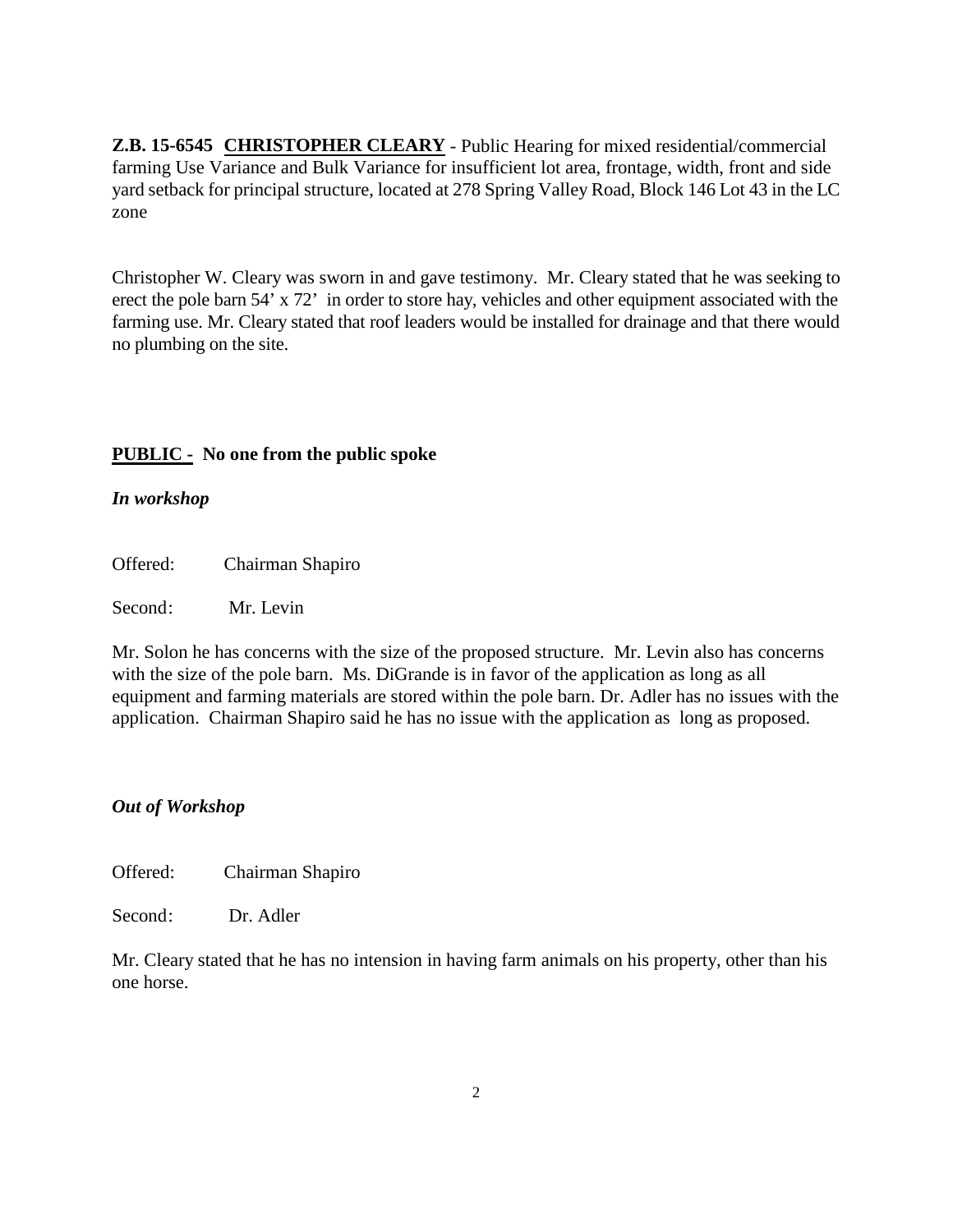**Z.B. 15-6545 CHRISTOPHER CLEARY** - Public Hearing for mixed residential/commercial farming Use Variance and Bulk Variance for insufficient lot area, frontage, width, front and side yard setback for principal structure, located at 278 Spring Valley Road, Block 146 Lot 43 in the LC zone

Christopher W. Cleary was sworn in and gave testimony. Mr. Cleary stated that he was seeking to erect the pole barn 54' x 72' in order to store hay, vehicles and other equipment associated with the farming use. Mr. Cleary stated that roof leaders would be installed for drainage and that there would no plumbing on the site.

### **PUBLIC - No one from the public spoke**

#### *In workshop*

Offered: Chairman Shapiro

Second: Mr. Levin

Mr. Solon he has concerns with the size of the proposed structure. Mr. Levin also has concerns with the size of the pole barn. Ms. DiGrande is in favor of the application as long as all equipment and farming materials are stored within the pole barn. Dr. Adler has no issues with the application. Chairman Shapiro said he has no issue with the application as long as proposed.

### *Out of Workshop*

Offered: Chairman Shapiro

Second: Dr. Adler

Mr. Cleary stated that he has no intension in having farm animals on his property, other than his one horse.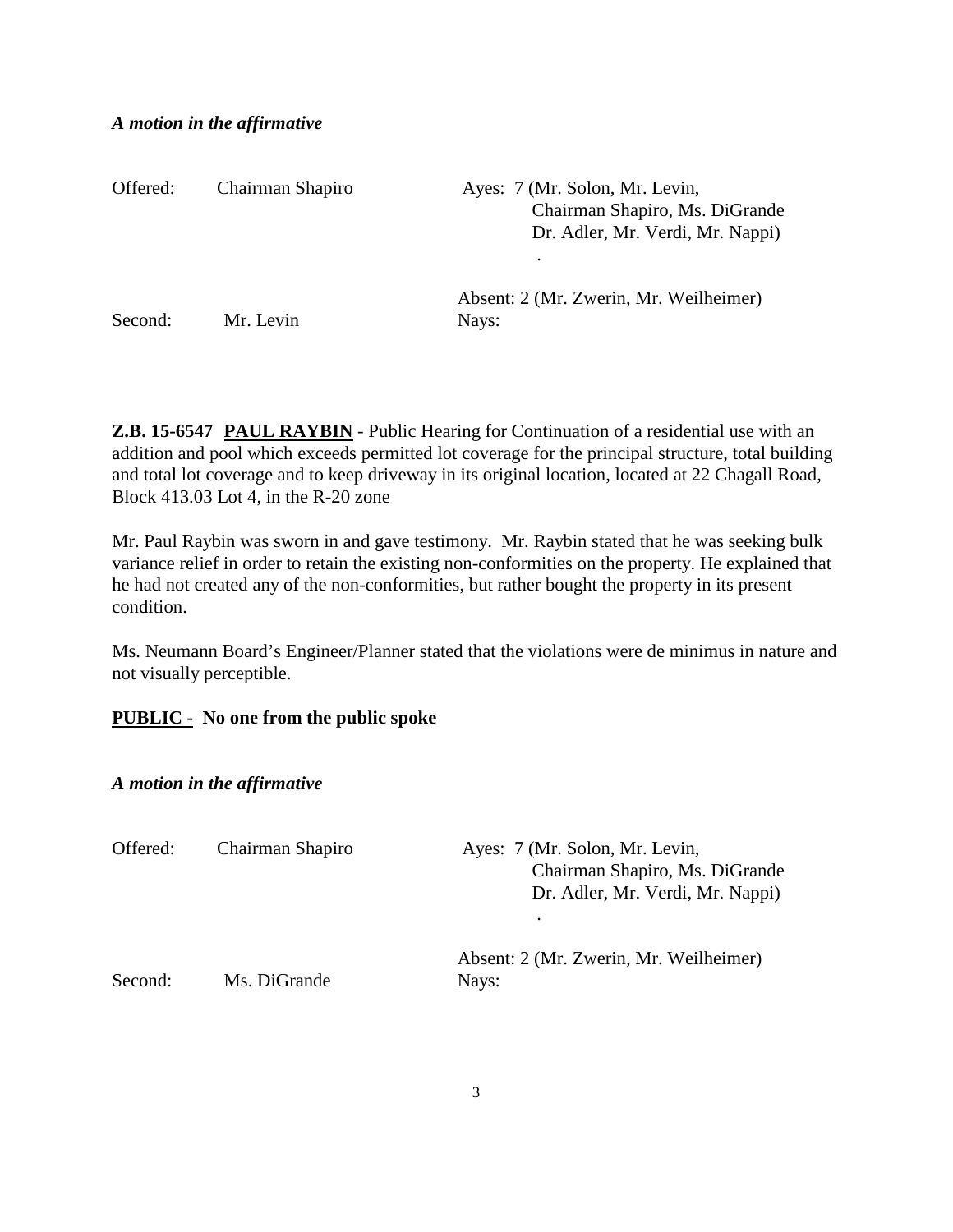#### *A motion in the affirmative*

| Offered: | Chairman Shapiro | Ayes: 7 (Mr. Solon, Mr. Levin,<br>Chairman Shapiro, Ms. DiGrande<br>Dr. Adler, Mr. Verdi, Mr. Nappi) |
|----------|------------------|------------------------------------------------------------------------------------------------------|
| Second:  | Mr. Levin        | Absent: 2 (Mr. Zwerin, Mr. Weilheimer)<br>Nays:                                                      |

**Z.B. 15-6547 PAUL RAYBIN** - Public Hearing for Continuation of a residential use with an addition and pool which exceeds permitted lot coverage for the principal structure, total building and total lot coverage and to keep driveway in its original location, located at 22 Chagall Road, Block 413.03 Lot 4, in the R-20 zone

Mr. Paul Raybin was sworn in and gave testimony. Mr. Raybin stated that he was seeking bulk variance relief in order to retain the existing non-conformities on the property. He explained that he had not created any of the non-conformities, but rather bought the property in its present condition.

Ms. Neumann Board's Engineer/Planner stated that the violations were de minimus in nature and not visually perceptible.

### **PUBLIC - No one from the public spoke**

*A motion in the affirmative*

| Offered: | Chairman Shapiro | Ayes: 7 (Mr. Solon, Mr. Levin,<br>Chairman Shapiro, Ms. DiGrande<br>Dr. Adler, Mr. Verdi, Mr. Nappi) |
|----------|------------------|------------------------------------------------------------------------------------------------------|
| Second:  | Ms. DiGrande     | Absent: 2 (Mr. Zwerin, Mr. Weilheimer)<br>Nays:                                                      |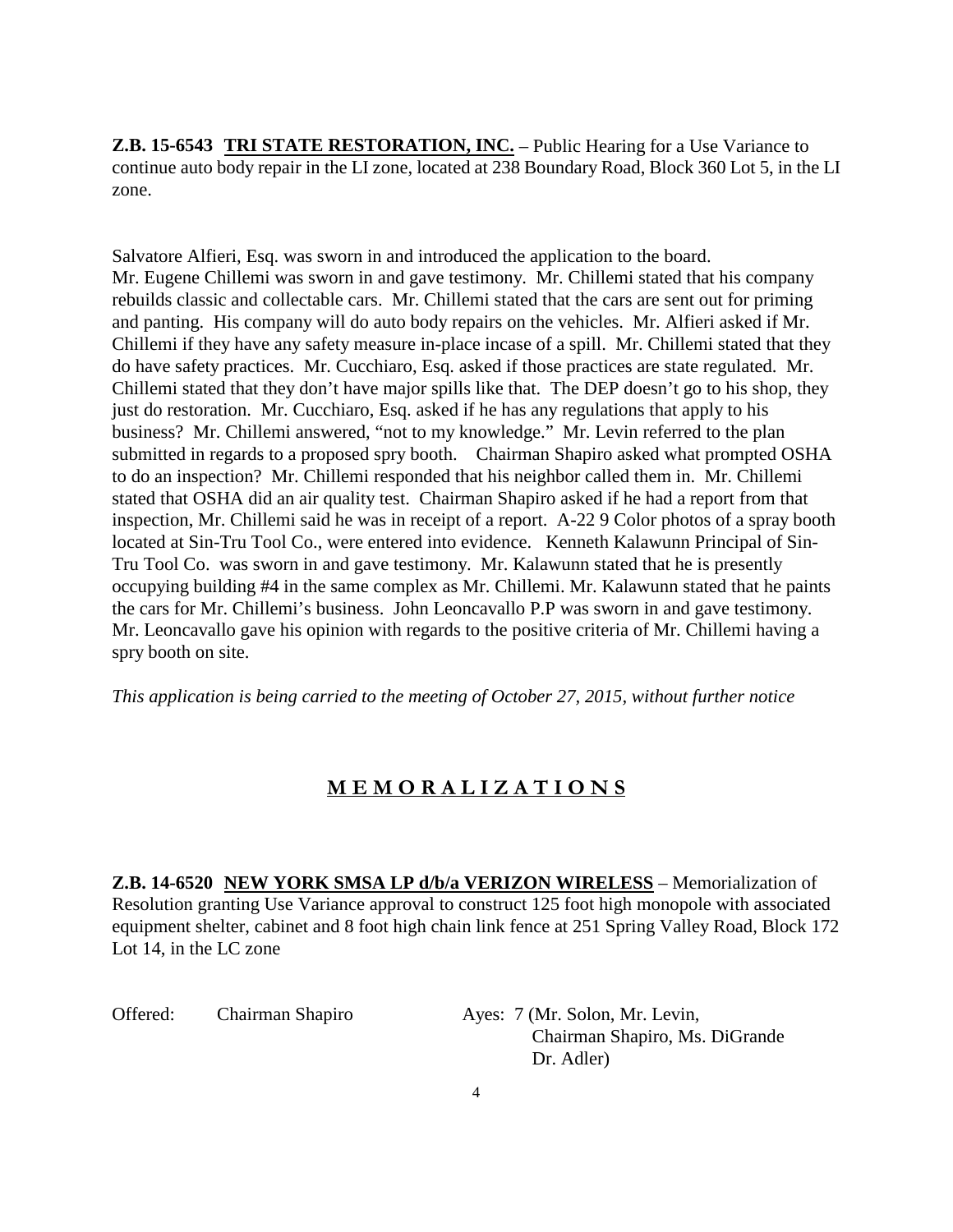**Z.B. 15-6543 TRI STATE RESTORATION, INC.** – Public Hearing for a Use Variance to continue auto body repair in the LI zone, located at 238 Boundary Road, Block 360 Lot 5, in the LI zone.

Salvatore Alfieri, Esq. was sworn in and introduced the application to the board. Mr. Eugene Chillemi was sworn in and gave testimony. Mr. Chillemi stated that his company rebuilds classic and collectable cars. Mr. Chillemi stated that the cars are sent out for priming and panting. His company will do auto body repairs on the vehicles. Mr. Alfieri asked if Mr. Chillemi if they have any safety measure in-place incase of a spill. Mr. Chillemi stated that they do have safety practices. Mr. Cucchiaro, Esq. asked if those practices are state regulated. Mr. Chillemi stated that they don't have major spills like that. The DEP doesn't go to his shop, they just do restoration. Mr. Cucchiaro, Esq. asked if he has any regulations that apply to his business? Mr. Chillemi answered, "not to my knowledge." Mr. Levin referred to the plan submitted in regards to a proposed spry booth. Chairman Shapiro asked what prompted OSHA to do an inspection? Mr. Chillemi responded that his neighbor called them in. Mr. Chillemi stated that OSHA did an air quality test. Chairman Shapiro asked if he had a report from that inspection, Mr. Chillemi said he was in receipt of a report. A-22 9 Color photos of a spray booth located at Sin-Tru Tool Co., were entered into evidence. Kenneth Kalawunn Principal of Sin-Tru Tool Co. was sworn in and gave testimony. Mr. Kalawunn stated that he is presently occupying building #4 in the same complex as Mr. Chillemi. Mr. Kalawunn stated that he paints the cars for Mr. Chillemi's business. John Leoncavallo P.P was sworn in and gave testimony. Mr. Leoncavallo gave his opinion with regards to the positive criteria of Mr. Chillemi having a spry booth on site.

*This application is being carried to the meeting of October 27, 2015, without further notice*

# **M E M O R A L I Z A T I O N S**

**Z.B. 14-6520 NEW YORK SMSA LP d/b/a VERIZON WIRELESS** – Memorialization of Resolution granting Use Variance approval to construct 125 foot high monopole with associated equipment shelter, cabinet and 8 foot high chain link fence at 251 Spring Valley Road, Block 172 Lot 14, in the LC zone

Offered: Chairman Shapiro Ayes: 7 (Mr. Solon, Mr. Levin,

 Chairman Shapiro, Ms. DiGrande Dr. Adler)